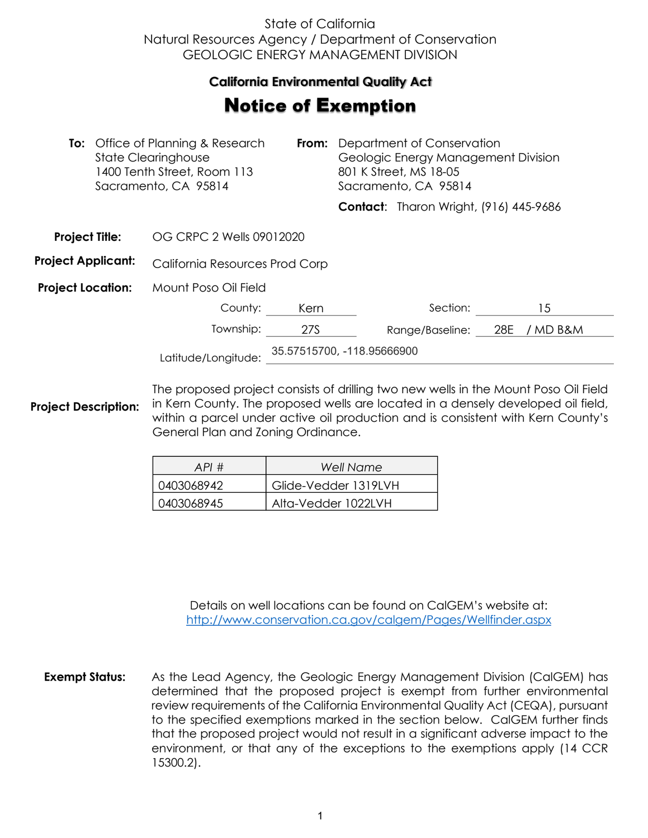## State of California Natural Resources Agency / Department of Conservation GEOLOGIC ENERGY MANAGEMENT DIVISION

## **California Environmental Quality Act**  California Environmental Quality Act

## **Notice of Exemption**

| <b>To:</b> Office of Planning & Research<br><b>State Clearinghouse</b><br>1400 Tenth Street, Room 113<br>Sacramento, CA 95814 |  | From:                          | Department of Conservation<br>Geologic Energy Management Division<br>801 K Street, MS 18-05<br>Sacramento, CA 95814 |  |                                               |     |          |
|-------------------------------------------------------------------------------------------------------------------------------|--|--------------------------------|---------------------------------------------------------------------------------------------------------------------|--|-----------------------------------------------|-----|----------|
|                                                                                                                               |  |                                |                                                                                                                     |  | <b>Contact:</b> Tharon Wright, (916) 445-9686 |     |          |
| <b>Project Title:</b>                                                                                                         |  | OG CRPC 2 Wells 09012020       |                                                                                                                     |  |                                               |     |          |
| <b>Project Applicant:</b>                                                                                                     |  | California Resources Prod Corp |                                                                                                                     |  |                                               |     |          |
| <b>Project Location:</b>                                                                                                      |  | Mount Poso Oil Field           |                                                                                                                     |  |                                               |     |          |
|                                                                                                                               |  | County:                        | Kern                                                                                                                |  | Section:                                      |     | 15       |
|                                                                                                                               |  | Township:                      | 27S                                                                                                                 |  | Range/Baseline:                               | 28E | / MD B&M |
| Latitude/Longitude:                                                                                                           |  | 35.57515700, -118.95666900     |                                                                                                                     |  |                                               |     |          |

**Project Description:** The proposed project consists of drilling two new wells in the Mount Poso Oil Field in Kern County. The proposed wells are located in a densely developed oil field, within a parcel under active oil production and is consistent with Kern County's General Plan and Zoning Ordinance.

| API#       | Well Name            |
|------------|----------------------|
| 0403068942 | Glide-Vedder 1319LVH |
| 0403068945 | Alta-Vedder 1022LVH  |

Details on well locations can be found on CalGEM's website at: <http://www.conservation.ca.gov/calgem/Pages/Wellfinder.aspx>

**Exempt Status:** As the Lead Agency, the Geologic Energy Management Division (CalGEM) has determined that the proposed project is exempt from further environmental review requirements of the California Environmental Quality Act (CEQA), pursuant to the specified exemptions marked in the section below. CalGEM further finds that the proposed project would not result in a significant adverse impact to the environment, or that any of the exceptions to the exemptions apply (14 CCR 15300.2).